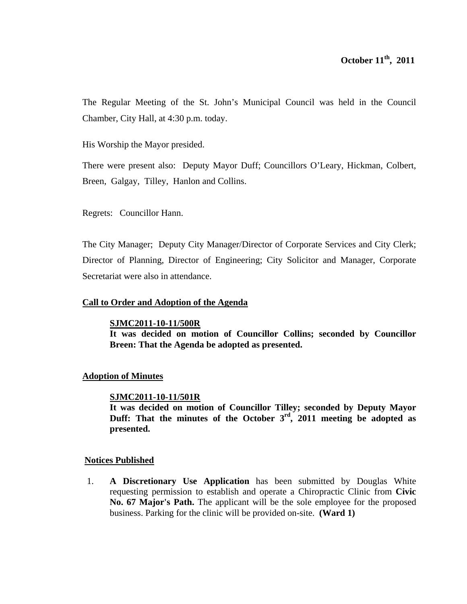The Regular Meeting of the St. John's Municipal Council was held in the Council Chamber, City Hall, at 4:30 p.m. today.

His Worship the Mayor presided.

There were present also: Deputy Mayor Duff; Councillors O'Leary, Hickman, Colbert, Breen, Galgay, Tilley, Hanlon and Collins.

Regrets: Councillor Hann.

The City Manager; Deputy City Manager/Director of Corporate Services and City Clerk; Director of Planning, Director of Engineering; City Solicitor and Manager, Corporate Secretariat were also in attendance.

# **Call to Order and Adoption of the Agenda**

## **SJMC2011-10-11/500R**

**It was decided on motion of Councillor Collins; seconded by Councillor Breen: That the Agenda be adopted as presented.** 

# **Adoption of Minutes**

## **SJMC2011-10-11/501R**

**It was decided on motion of Councillor Tilley; seconded by Deputy Mayor Duff: That the minutes of the October 3rd, 2011 meeting be adopted as presented.** 

# **Notices Published**

1. **A Discretionary Use Application** has been submitted by Douglas White requesting permission to establish and operate a Chiropractic Clinic from **Civic No. 67 Major's Path.** The applicant will be the sole employee for the proposed business. Parking for the clinic will be provided on-site. **(Ward 1)**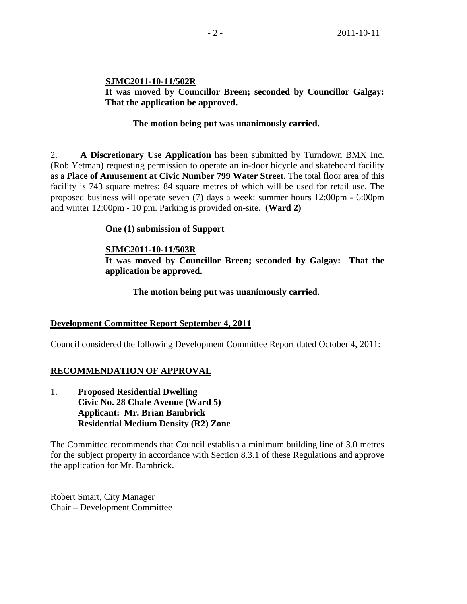# **SJMC2011-10-11/502R**

**It was moved by Councillor Breen; seconded by Councillor Galgay: That the application be approved.** 

# **The motion being put was unanimously carried.**

2. **A Discretionary Use Application** has been submitted by Turndown BMX Inc. (Rob Yetman) requesting permission to operate an in-door bicycle and skateboard facility as a **Place of Amusement at Civic Number 799 Water Street.** The total floor area of this facility is 743 square metres; 84 square metres of which will be used for retail use. The proposed business will operate seven (7) days a week: summer hours 12:00pm - 6:00pm and winter 12:00pm - 10 pm. Parking is provided on-site. **(Ward 2)** 

# **One (1) submission of Support**

# **SJMC2011-10-11/503R**

**It was moved by Councillor Breen; seconded by Galgay: That the application be approved.** 

 **The motion being put was unanimously carried.** 

# **Development Committee Report September 4, 2011**

Council considered the following Development Committee Report dated October 4, 2011:

# **RECOMMENDATION OF APPROVAL**

1. **Proposed Residential Dwelling Civic No. 28 Chafe Avenue (Ward 5) Applicant: Mr. Brian Bambrick Residential Medium Density (R2) Zone** 

The Committee recommends that Council establish a minimum building line of 3.0 metres for the subject property in accordance with Section 8.3.1 of these Regulations and approve the application for Mr. Bambrick.

Robert Smart, City Manager Chair – Development Committee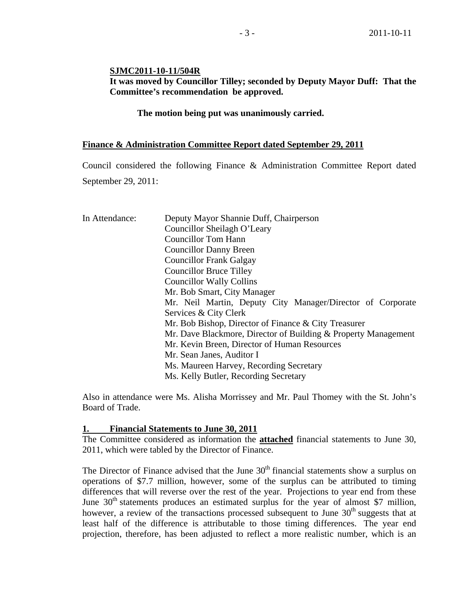### **SJMC2011-10-11/504R**

# **It was moved by Councillor Tilley; seconded by Deputy Mayor Duff: That the Committee's recommendation be approved.**

 **The motion being put was unanimously carried.** 

#### **Finance & Administration Committee Report dated September 29, 2011**

Council considered the following Finance & Administration Committee Report dated September 29, 2011:

| In Attendance: | Deputy Mayor Shannie Duff, Chairperson                         |  |  |  |  |
|----------------|----------------------------------------------------------------|--|--|--|--|
|                | Councillor Sheilagh O'Leary                                    |  |  |  |  |
|                | <b>Councillor Tom Hann</b>                                     |  |  |  |  |
|                | <b>Councillor Danny Breen</b>                                  |  |  |  |  |
|                | <b>Councillor Frank Galgay</b>                                 |  |  |  |  |
|                | <b>Councillor Bruce Tilley</b>                                 |  |  |  |  |
|                | <b>Councillor Wally Collins</b>                                |  |  |  |  |
|                | Mr. Bob Smart, City Manager                                    |  |  |  |  |
|                | Mr. Neil Martin, Deputy City Manager/Director of Corporate     |  |  |  |  |
|                | Services & City Clerk                                          |  |  |  |  |
|                | Mr. Bob Bishop, Director of Finance & City Treasurer           |  |  |  |  |
|                | Mr. Dave Blackmore, Director of Building & Property Management |  |  |  |  |
|                | Mr. Kevin Breen, Director of Human Resources                   |  |  |  |  |
|                | Mr. Sean Janes, Auditor I                                      |  |  |  |  |
|                | Ms. Maureen Harvey, Recording Secretary                        |  |  |  |  |
|                | Ms. Kelly Butler, Recording Secretary                          |  |  |  |  |
|                |                                                                |  |  |  |  |

Also in attendance were Ms. Alisha Morrissey and Mr. Paul Thomey with the St. John's Board of Trade.

#### **1. Financial Statements to June 30, 2011**

The Committee considered as information the **attached** financial statements to June 30, 2011, which were tabled by the Director of Finance.

The Director of Finance advised that the June  $30<sup>th</sup>$  financial statements show a surplus on operations of \$7.7 million, however, some of the surplus can be attributed to timing differences that will reverse over the rest of the year. Projections to year end from these June  $30<sup>th</sup>$  statements produces an estimated surplus for the year of almost \$7 million, however, a review of the transactions processed subsequent to June  $30<sup>th</sup>$  suggests that at least half of the difference is attributable to those timing differences. The year end projection, therefore, has been adjusted to reflect a more realistic number, which is an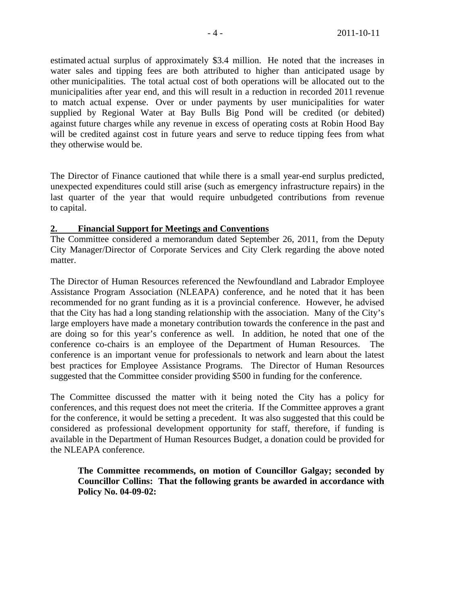estimated actual surplus of approximately \$3.4 million. He noted that the increases in water sales and tipping fees are both attributed to higher than anticipated usage by other municipalities. The total actual cost of both operations will be allocated out to the municipalities after year end, and this will result in a reduction in recorded 2011 revenue to match actual expense. Over or under payments by user municipalities for water supplied by Regional Water at Bay Bulls Big Pond will be credited (or debited) against future charges while any revenue in excess of operating costs at Robin Hood Bay will be credited against cost in future years and serve to reduce tipping fees from what they otherwise would be.

The Director of Finance cautioned that while there is a small year-end surplus predicted, unexpected expenditures could still arise (such as emergency infrastructure repairs) in the last quarter of the year that would require unbudgeted contributions from revenue to capital.

# **2. Financial Support for Meetings and Conventions**

The Committee considered a memorandum dated September 26, 2011, from the Deputy City Manager/Director of Corporate Services and City Clerk regarding the above noted matter.

The Director of Human Resources referenced the Newfoundland and Labrador Employee Assistance Program Association (NLEAPA) conference, and he noted that it has been recommended for no grant funding as it is a provincial conference. However, he advised that the City has had a long standing relationship with the association. Many of the City's large employers have made a monetary contribution towards the conference in the past and are doing so for this year's conference as well. In addition, he noted that one of the conference co-chairs is an employee of the Department of Human Resources. The conference is an important venue for professionals to network and learn about the latest best practices for Employee Assistance Programs. The Director of Human Resources suggested that the Committee consider providing \$500 in funding for the conference.

The Committee discussed the matter with it being noted the City has a policy for conferences, and this request does not meet the criteria. If the Committee approves a grant for the conference, it would be setting a precedent. It was also suggested that this could be considered as professional development opportunity for staff, therefore, if funding is available in the Department of Human Resources Budget, a donation could be provided for the NLEAPA conference.

**The Committee recommends, on motion of Councillor Galgay; seconded by Councillor Collins: That the following grants be awarded in accordance with Policy No. 04-09-02:**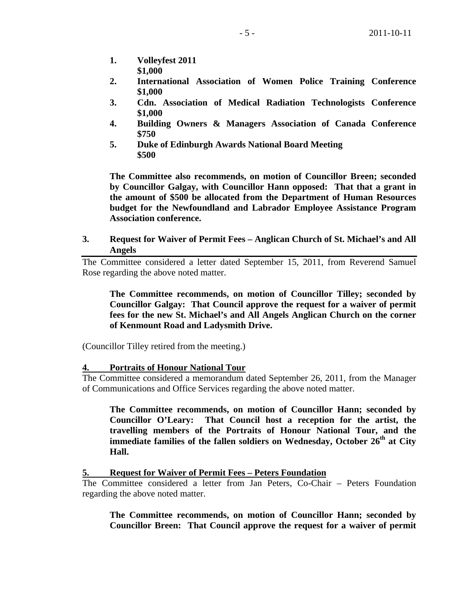- **1. Volleyfest 2011 \$1,000**
- **2. International Association of Women Police Training Conference \$1,000**
- **3. Cdn. Association of Medical Radiation Technologists Conference \$1,000**
- **4. Building Owners & Managers Association of Canada Conference \$750**
- **5. Duke of Edinburgh Awards National Board Meeting \$500**

**The Committee also recommends, on motion of Councillor Breen; seconded by Councillor Galgay, with Councillor Hann opposed: That that a grant in the amount of \$500 be allocated from the Department of Human Resources budget for the Newfoundland and Labrador Employee Assistance Program Association conference.**

**3. Request for Waiver of Permit Fees – Anglican Church of St. Michael's and All Angels** 

The Committee considered a letter dated September 15, 2011, from Reverend Samuel Rose regarding the above noted matter.

**The Committee recommends, on motion of Councillor Tilley; seconded by Councillor Galgay: That Council approve the request for a waiver of permit fees for the new St. Michael's and All Angels Anglican Church on the corner of Kenmount Road and Ladysmith Drive.**

(Councillor Tilley retired from the meeting.)

## **4. Portraits of Honour National Tour**

The Committee considered a memorandum dated September 26, 2011, from the Manager of Communications and Office Services regarding the above noted matter.

**The Committee recommends, on motion of Councillor Hann; seconded by Councillor O'Leary: That Council host a reception for the artist, the travelling members of the Portraits of Honour National Tour, and the immediate families of the fallen soldiers on Wednesday, October 26th at City Hall.**

## **5. Request for Waiver of Permit Fees – Peters Foundation**

The Committee considered a letter from Jan Peters, Co-Chair – Peters Foundation regarding the above noted matter.

**The Committee recommends, on motion of Councillor Hann; seconded by Councillor Breen: That Council approve the request for a waiver of permit**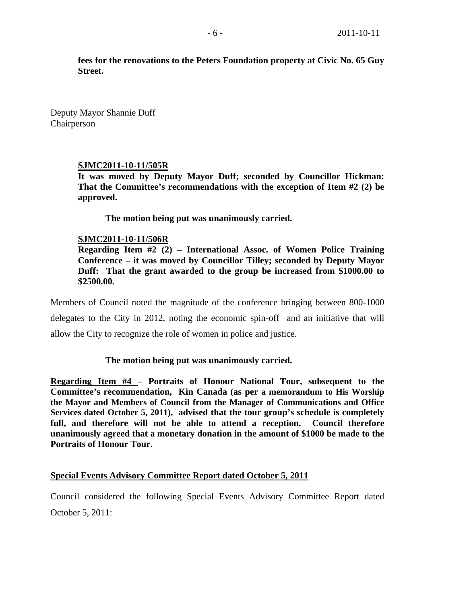**fees for the renovations to the Peters Foundation property at Civic No. 65 Guy Street.**

Deputy Mayor Shannie Duff Chairperson

#### **SJMC2011-10-11/505R**

**It was moved by Deputy Mayor Duff; seconded by Councillor Hickman: That the Committee's recommendations with the exception of Item #2 (2) be approved.** 

 **The motion being put was unanimously carried.** 

#### **SJMC2011-10-11/506R**

**Regarding Item #2 (2) – International Assoc. of Women Police Training Conference – it was moved by Councillor Tilley; seconded by Deputy Mayor Duff: That the grant awarded to the group be increased from \$1000.00 to \$2500.00.** 

Members of Council noted the magnitude of the conference bringing between 800-1000 delegates to the City in 2012, noting the economic spin-off and an initiative that will allow the City to recognize the role of women in police and justice.

#### **The motion being put was unanimously carried.**

**Regarding Item #4 – Portraits of Honour National Tour, subsequent to the Committee's recommendation, Kin Canada (as per a memorandum to His Worship the Mayor and Members of Council from the Manager of Communications and Office Services dated October 5, 2011), advised that the tour group's schedule is completely full, and therefore will not be able to attend a reception. Council therefore unanimously agreed that a monetary donation in the amount of \$1000 be made to the Portraits of Honour Tour.** 

#### **Special Events Advisory Committee Report dated October 5, 2011**

Council considered the following Special Events Advisory Committee Report dated October 5, 2011: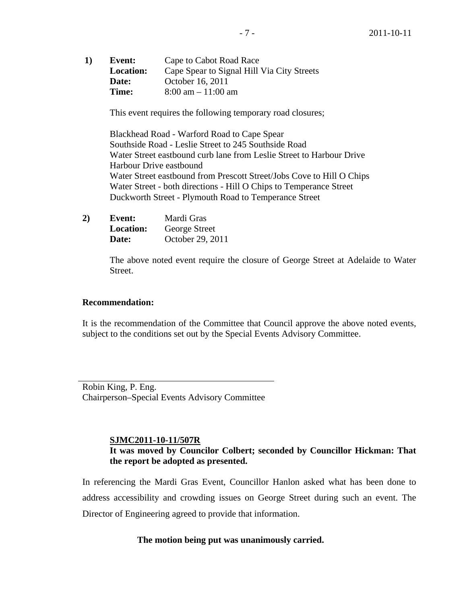**1) Event:** Cape to Cabot Road Race **Location:** Cape Spear to Signal Hill Via City Streets **Date:** October 16, 2011 **Time:** 8:00 am – 11:00 am

This event requires the following temporary road closures;

 Blackhead Road - Warford Road to Cape Spear Southside Road - Leslie Street to 245 Southside Road Water Street eastbound curb lane from Leslie Street to Harbour Drive Harbour Drive eastbound Water Street eastbound from Prescott Street/Jobs Cove to Hill O Chips Water Street - both directions - Hill O Chips to Temperance Street Duckworth Street - Plymouth Road to Temperance Street

**2) Event:** Mardi Gras **Location:** George Street **Date:** October 29, 2011

> The above noted event require the closure of George Street at Adelaide to Water Street.

## **Recommendation:**

It is the recommendation of the Committee that Council approve the above noted events, subject to the conditions set out by the Special Events Advisory Committee.

Robin King, P. Eng. Chairperson–Special Events Advisory Committee

## **SJMC2011-10-11/507R**

# **It was moved by Councilor Colbert; seconded by Councillor Hickman: That the report be adopted as presented.**

In referencing the Mardi Gras Event, Councillor Hanlon asked what has been done to address accessibility and crowding issues on George Street during such an event. The Director of Engineering agreed to provide that information.

## **The motion being put was unanimously carried.**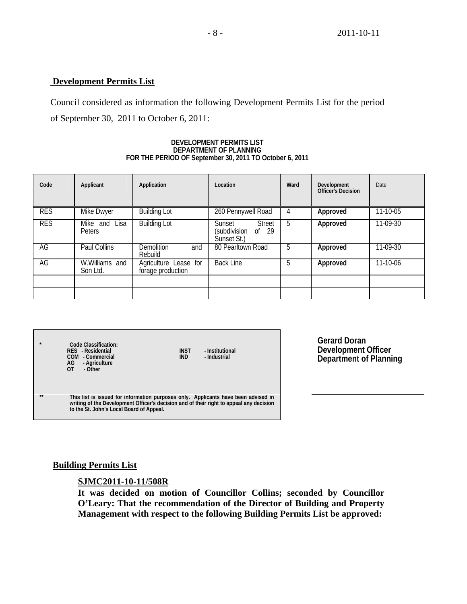# **Development Permits List**

Council considered as information the following Development Permits List for the period of September 30, 2011 to October 6, 2011:

#### **DEVELOPMENT PERMITS LIST DEPARTMENT OF PLANNING FOR THE PERIOD OF September 30, 2011 TO October 6, 2011**

| Code       | Applicant                  | Application                                | Location                                                          | Ward | Development<br>Officer's Decision | Date           |
|------------|----------------------------|--------------------------------------------|-------------------------------------------------------------------|------|-----------------------------------|----------------|
| <b>RES</b> | Mike Dwyer                 | <b>Building Lot</b>                        | 260 Pennywell Road                                                |      | Approved                          | $11 - 10 - 05$ |
| <b>RES</b> | Mike and Lisa<br>Peters    | <b>Building Lot</b>                        | Sunset<br><b>Street</b><br>(subdivision<br>of $29$<br>Sunset St.) | 5    | Approved                          | 11-09-30       |
| AG         | Paul Collins               | <b>Demolition</b><br>and<br>Rebuild        | 80 Pearltown Road                                                 | 5    | Approved                          | $11-09-30$     |
| AG         | W.Williams and<br>Son Ltd. | Agriculture Lease for<br>forage production | <b>Back Line</b>                                                  | 5    | Approved                          | $11 - 10 - 06$ |
|            |                            |                                            |                                                                   |      |                                   |                |
|            |                            |                                            |                                                                   |      |                                   |                |

| $\star$ | Code Classification:<br>RES - Residential<br><b>INST</b><br>- Institutional<br>COM - Commercial<br>IND.<br>- Industrial<br>AG<br>- Agriculture<br>$\overline{0}$<br>- Other                                               |
|---------|---------------------------------------------------------------------------------------------------------------------------------------------------------------------------------------------------------------------------|
| **      | This list is issued for information purposes only. Applicants have been advised in<br>writing of the Development Officer's decision and of their right to appeal any decision<br>to the St. John's Local Board of Appeal. |

**Gerard Doran Development Officer Department of Planning**

## **Building Permits List**

## **SJMC2011-10-11/508R**

**It was decided on motion of Councillor Collins; seconded by Councillor O'Leary: That the recommendation of the Director of Building and Property Management with respect to the following Building Permits List be approved:**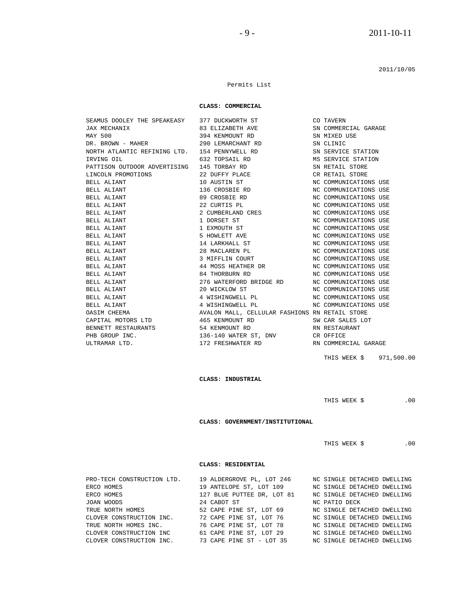2011/10/05

#### Permits List

#### **CLASS: COMMERCIAL**

| SEAMUS DOOLEY THE SPEAKEASY 377 DUCKWORTH ST |                                                     | CO TAVERN             |
|----------------------------------------------|-----------------------------------------------------|-----------------------|
|                                              | JAX MECHANIX 83 ELIZABETH AVE                       | SN COMMERCIAL GARAGE  |
| MAY 500                                      | 394 KENMOUNT RD                                     | SN MIXED USE          |
|                                              | DR. BROWN - MAHER 290 LEMARCHANT RD                 | SN CLINIC             |
|                                              | NORTH ATLANTIC REFINING LTD. 154 PENNYWELL RD       | SN SERVICE STATION    |
| 632 TOPSAIL RD<br>IRVING OIL                 |                                                     | MS SERVICE STATION    |
| PATTISON OUTDOOR ADVERTISING 145 TORBAY RD   |                                                     | SN RETAIL STORE       |
| LINCOLN PROMOTIONS 22 DUFFY PLACE            |                                                     | CR RETAIL STORE       |
| BELL ALIANT                                  | 10 AUSTIN ST                                        | NC COMMUNICATIONS USE |
| BELL ALIANT                                  | 136 CROSBIE RD                                      | NC COMMUNICATIONS USE |
| BELL ALIANT                                  | 89 CROSBIE RD                                       | NC COMMUNICATIONS USE |
| BELL ALIANT                                  | 22 CURTIS PL                                        | NC COMMUNICATIONS USE |
| BELL ALIANT                                  | 2 CUMBERLAND CRES                                   | NC COMMUNICATIONS USE |
| BELL ALIANT                                  | 1 DORSET ST                                         | NC COMMUNICATIONS USE |
| BELL ALIANT                                  | 1 EXMOUTH ST                                        | NC COMMUNICATIONS USE |
| BELL ALIANT                                  | 5 HOWLETT AVE                                       | NC COMMUNICATIONS USE |
| BELL ALIANT                                  | 14 LARKHALL ST                                      | NC COMMUNICATIONS USE |
| BELL ALIANT                                  | 28 MACLAREN PL                                      | NC COMMUNICATIONS USE |
| BELL ALIANT                                  | 3 MIFFLIN COURT                                     | NC COMMUNICATIONS USE |
| BELL ALIANT                                  | 44 MOSS HEATHER DR                                  | NC COMMUNICATIONS USE |
| BELL ALIANT                                  | 84 THORBURN RD                                      | NC COMMUNICATIONS USE |
| BELL ALIANT                                  | 276 WATERFORD BRIDGE RD NC COMMUNICATIONS USE       |                       |
| BELL ALIANT                                  | 20 WICKLOW ST                                       | NC COMMUNICATIONS USE |
| BELL ALIANT                                  | 4 WISHINGWELL PL                                    | NC COMMUNICATIONS USE |
| BELL ALIANT                                  | 4 WISHINGWELL PL                                    | NC COMMUNICATIONS USE |
| OASIM CHEEMA                                 | AVALON MALL, CELLULAR FASHIONS RN RETAIL STORE      |                       |
|                                              | CAPITAL MOTORS LTD 465 KENMOUNT RD SW CAR SALES LOT |                       |
| BENNETT RESTAURANTS                          | 54 KENMOUNT RD                                      | RN RESTAURANT         |
| PHB GROUP INC.                               |                                                     |                       |
| ULTRAMAR LTD.                                | 172 FRESHWATER RD NON RN COMMERCIAL GARAGE          |                       |

THIS WEEK \$ 971,500.00

 **CLASS: INDUSTRIAL** 

THIS WEEK  $$$  .00

 **CLASS: GOVERNMENT/INSTITUTIONAL** 

THIS WEEK \$ .00

#### **CLASS: RESIDENTIAL**

| PRO-TECH CONSTRUCTION LTD. | 19 ALDERGROVE PL, LOT 246  | NC SINGLE DETACHED DWELLING |
|----------------------------|----------------------------|-----------------------------|
| ERCO HOMES                 | 19 ANTELOPE ST, LOT 109    | NC SINGLE DETACHED DWELLING |
| ERCO HOMES                 | 127 BLUE PUTTEE DR, LOT 81 | NC SINGLE DETACHED DWELLING |
| JOAN WOODS                 | 24 CABOT ST                | NC PATIO DECK               |
| TRUE NORTH HOMES           | 52 CAPE PINE ST, LOT 69    | NC SINGLE DETACHED DWELLING |
| CLOVER CONSTRUCTION INC.   | 72 CAPE PINE ST, LOT 76    | NC SINGLE DETACHED DWELLING |
| TRUE NORTH HOMES INC.      | 76 CAPE PINE ST, LOT 78    | NC SINGLE DETACHED DWELLING |
| CLOVER CONSTRUCTION INC    | 61 CAPE PINE ST, LOT 29    | NC SINGLE DETACHED DWELLING |
| CLOVER CONSTRUCTION INC.   | 73 CAPE PINE ST - LOT 35   | NC SINGLE DETACHED DWELLING |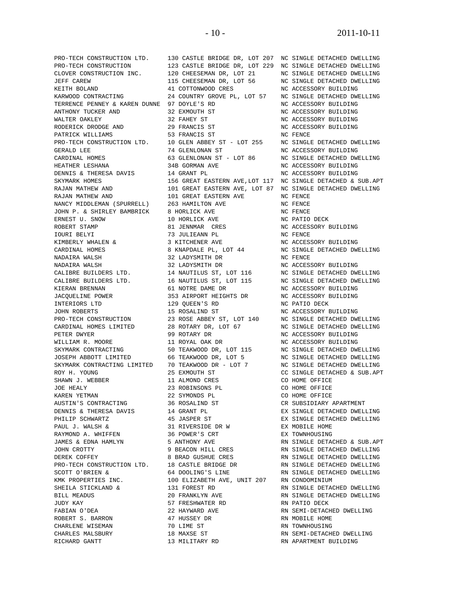JOHN ROBERTS 15 ROSALIND ST PRO-TECH CONSTRUCTION 23 ROSE ABBEY ST PRO-TECH CONSTRUCTION LILE.<br>
SCOTT O'BRIEN & 64 DOOLING'S LINE<br>
KMK PROPERTIES INC. 100 ELIZABETH AVE, UNIT 20<br>
SHEILA STICKLAND & 131 FOREST RD ROBERT S. BARRON 47 HUSSEY DR RN MOBILE HOME

 PRO-TECH CONSTRUCTION LTD. 130 CASTLE BRIDGE DR, LOT 207 NC SINGLE DETACHED DWELLING PRO-TECH CONSTRUCTION 123 CASTLE BRIDGE DR, LOT 229 NC SINGLE DETACHED DWELLING CLOVER CONSTRUCTION INC. 120 CHEESEMAN DR, LOT 21 NC SINGLE DETACHED DWELLING JEFF CAREW 115 CHEESEMAN DR, LOT 56 NC SINGLE DETACHED DWELLING KEITH BOLAND 41 COTTONWOOD CRES NC ACCESSORY BUILDING KARWOOD CONTRACTING 24 COUNTRY GROVE PL, LOT 57 NC SINGLE DETACHED DWELLING TERRENCE PENNEY & KAREN DUNNE 97 DOYLE'S RD NC ACCESSORY BUILDING ANTHONY TUCKER AND 32 EXMOUTH ST NC ACCESSORY BUILDING WALTER OAKLEY 32 FAHEY ST NC ACCESSORY BUILDING RODERICK DRODGE AND 29 FRANCIS ST NC ACCESSORY BUILDING PATRICK WILLIAMS 53 FRANCIS ST NC FENCE PRO-TECH CONSTRUCTION LTD. 10 GLEN ABBEY ST - LOT 255 NC SINGLE DETACHED DWELLING GERALD LEE 74 GLENLONAN ST NC ACCESSORY BUILDING CARDINAL HOMES 63 GLENLONAN ST - LOT 86 NC SINGLE DETACHED DWELLING HEATHER LESHANA 34B GORMAN AVE NC ACCESSORY BUILDING DENNIS & THERESA DAVIS 14 GRANT PL NC ACCESSORY BUILDING 156 GREAT EASTERN AVE, LOT 117 NC SINGLE DETACHED & SUB.APT RAJAN MATHEW AND 101 GREAT EASTERN AVE, LOT 87 NC SINGLE DETACHED DWELLING RAJAN MATHEW AND 101 GREAT EASTERN AVE NC FENCE NANCY MIDDLEMAN (SPURRELL) 263 HAMILTON AVE NO FENCE JOHN P. & SHIRLEY BAMBRICK 8 HORLICK AVE NO FENCE ERNEST U. SNOW 10 HORLICK AVE NC PATIO DECK<br>
ROBERT STAMP 10 HORLICK AVE NC ACCESSORY<br>
TOURI BELYI 13 JULIEANN PL<br>
TOURI BELYI 13 JULIEANN PL<br>
TOURI BELYI 14 MC ACCESSORY ROBERT STAMP 81 JENNMAR CRES NC ACCESSORY BUILDING IOURI BELYI 73 JULIEANN PL NC FENCE KIMBERLY WHALEN & 3 KITCHENER AVE NC ACCESSORY BUILDING CARDINAL HOMES 6 8 KNAPDALE PL, LOT 44 NC SINGLE DETACHED DWELLING NADAIRA WALSH 32 LADYSMITH DR NC FENCE NADAIRA WALSH 32 LADYSMITH DR NC ACCESSORY BUILDING CALIBRE BUILDERS LTD. 14 NAUTILUS ST, LOT 116 NC SINGLE DETACHED DWELLING CALIBRE BUILDERS LTD. 16 NAUTILUS ST, LOT 115 NC SINGLE DETACHED DWELLING KIERAN BRENNAN 61 NOTRE DAME DR NC ACCESSORY BUILDING JACQUELINE POWER 353 AIRPORT HEIGHTS DR NC ACCESSORY BUILDING INTERIORS LTD 129 QUEEN'S RD NC PATIO DECK PRO-TECH CONSTRUCTION 23 ROSE ABBEY ST, LOT 140 NC SINGLE DETACHED DWELLING CARDINAL HOMES LIMITED 28 ROTARY DR, LOT 67 NC SINGLE DETACHED DWELLING PETER DWYER 99 ROTARY DR NC ACCESSORY BUILDING WILLIAM R. MOORE 11 ROYAL OAK DR NC ACCESSORY BUILDING SKYMARK CONTRACTING 50 TEAKWOOD DR, LOT 115 NO SINGLE DETACHED DWELLING JOSEPH ABBOTT LIMITED 66 TEAKWOOD DR, LOT 5 NC SINGLE DETACHED DWELLING SKYMARK CONTRACTING LIMITED 70 TEAKWOOD DR - LOT 7 NC SINGLE DETACHED DWELLING ROY H. YOUNG 25 EXMOUTH ST CC SINGLE DETACHED & SUB.APT SHAWN J. WEBBER 11 ALMOND CRES CO HOME OFFICE JOE HEALY 23 ROBINSONS PL CO HOME OFFICE KAREN YETMAN 22 SYMONDS PL CO HOME OFFICE AUSTIN'S CONTRACTING 36 ROSALIND ST CR SUBSIDIARY APARTMENT DENNIS & THERESA DAVIS 14 GRANT PL SINGLE DETACHED DWELLING PHILIP SCHWARTZ 45 JASPER ST EX SINGLE DETACHED DWELLING PAUL J. WALSH & 31 RIVERSIDE DR W EX MOBILE HOME RAYMOND A. WHIFFEN 36 POWER'S CRT THE EX TOWNHOUSING JAMES & EDNA HAMLYN 5 ANTHONY AVE RN SINGLE DETACHED & SUB.APT JOHN CROTTY 9 BEACON HILL CRES RN SINGLE DETACHED DWELLING DEREK COFFEY 8 BRAD GUSHUE CRES RN SINGLE DETACHED DWELLING PRO-TECH CONSTRUCTION LTD. 18 CASTLE BRIDGE DR RN SINGLE DETACHED DWELLING SCOTT O'BRIEN & 64 DOOLING'S LINE RN SINGLE DETACHED DWELLING KMK PROPERTIES INC. 100 ELIZABETH AVE, UNIT 207 RN CONDOMINIUM<br>SHEILA STICKLAND & 131 FOREST RD RN SINGLE DETACHED DWELLING BILL MEADUS 20 FRANKLYN AVE RN SINGLE DETACHED DWELLING JUDY KAY 57 FRESHWATER RD RN PATIO DECK FABIAN O'DEA 22 HAYWARD AVE RN SEMI-DETACHED DWELLING CHARLENE WISEMAN 70 LIME ST RN TOWNHOUSING CHARLES MALSBURY 18 MAXSE ST RN SEMI-DETACHED DWELLING RICHARD GANTT 13 MILITARY RD RN APARTMENT BUILDING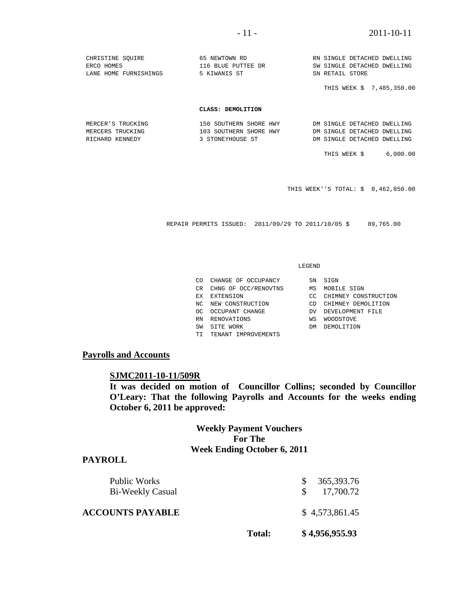# - 11 - 2011-10-11

| CHRISTINE SOUIRE      | 65 NEWTOWN RD          | RN SINGLE DETACHED DWELLING |
|-----------------------|------------------------|-----------------------------|
| ERCO HOMES            | 116 BLUE PUTTEE DR     | SW SINGLE DETACHED DWELLING |
| LANE HOME FURNISHINGS | 5 KIWANIS ST           | SN RETAIL STORE             |
|                       |                        | THIS WEEK \$ 7,485,350.00   |
|                       | CLASS: DEMOLITION      |                             |
| MERCER'S TRUCKING     | 150 SOUTHERN SHORE HWY | DM SINGLE DETACHED DWELLING |
| MERCERS TRUCKING      | 103 SOUTHERN SHORE HWY | DM SINGLE DETACHED DWELLING |

RICHARD KENNEDY 3 STONEYHOUSE ST <sup>DM</sup> SINGLE DETACHED DWELLING

THIS WEEK \$ 6,000.00

THIS WEEK''S TOTAL: \$ 8,462,850.00

REPAIR PERMITS ISSUED: 2011/09/29 TO 2011/10/05 \$ 89,765.00

#### LEGEND

| CO. | CHANGE OF OCCUPANCY  |     | SN SIGN              |
|-----|----------------------|-----|----------------------|
| CR. | CHNG OF OCC/RENOVTNS | МS  | MOBILE SIGN          |
| ЕX  | EXTENSION            | UG. | CHIMNEY CONSTRUCTION |
| NC. | NEW CONSTRUCTION     | CD. | CHIMNEY DEMOLITION   |
| റല  | OCCUPANT CHANGE      | DV  | DEVELOPMENT FILE     |
| RN  | RENOVATIONS          | WS  | <b>WOODSTOVE</b>     |
| SW  | SITE WORK            | DМ  | DEMOLITION           |

#### TI TENANT IMPROVEMENTS

# **Payrolls and Accounts**

## **SJMC2011-10-11/509R**

**It was decided on motion of Councillor Collins; seconded by Councillor O'Leary: That the following Payrolls and Accounts for the weeks ending October 6, 2011 be approved:** 

# **Weekly Payment Vouchers For The Week Ending October 6, 2011**

#### **PAYROLL**

| Total: | \$4,956,955.93          |  |
|--------|-------------------------|--|
|        | \$4,573,861.45          |  |
|        | 365,393.76<br>17,700.72 |  |
|        |                         |  |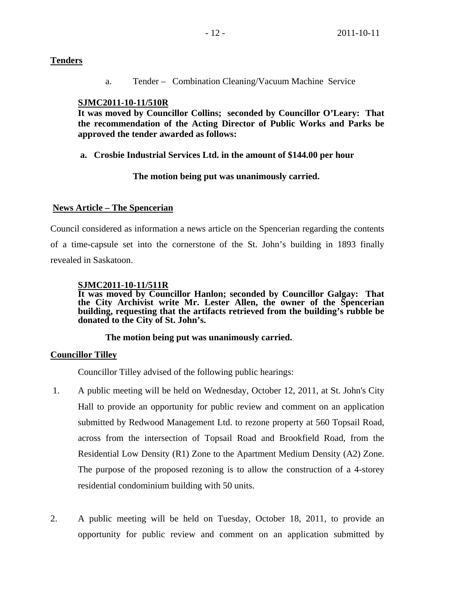# **Tenders**

a. Tender – Combination Cleaning/Vacuum Machine Service

# **SJMC2011-10-11/510R**

 **It was moved by Councillor Collins; seconded by Councillor O'Leary: That the recommendation of the Acting Director of Public Works and Parks be approved the tender awarded as follows:** 

**a. Crosbie Industrial Services Ltd. in the amount of \$144.00 per hour** 

 **The motion being put was unanimously carried.** 

# **News Article – The Spencerian**

Council considered as information a news article on the Spencerian regarding the contents of a time-capsule set into the cornerstone of the St. John's building in 1893 finally revealed in Saskatoon.

# **SJMC2011-10-11/511R**

**It was moved by Councillor Hanlon; seconded by Councillor Galgay: That the City Archivist write Mr. Lester Allen, the owner of the Spencerian building, requesting that the artifacts retrieved from the building's rubble be donated to the City of St. John's.** 

# **The motion being put was unanimously carried.**

# **Councillor Tilley**

Councillor Tilley advised of the following public hearings:

- 1. A public meeting will be held on Wednesday, October 12, 2011, at St. John's City Hall to provide an opportunity for public review and comment on an application submitted by Redwood Management Ltd. to rezone property at 560 Topsail Road, across from the intersection of Topsail Road and Brookfield Road, from the Residential Low Density (R1) Zone to the Apartment Medium Density (A2) Zone. The purpose of the proposed rezoning is to allow the construction of a 4-storey residential condominium building with 50 units.
- 2. A public meeting will be held on Tuesday, October 18, 2011, to provide an opportunity for public review and comment on an application submitted by